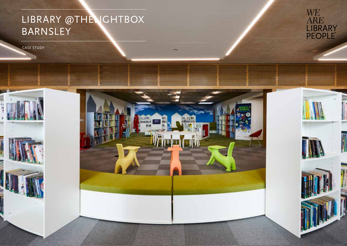# LIBRARY @THELIGHTBOX BARNSLEY

Lealth

CASE STUDY

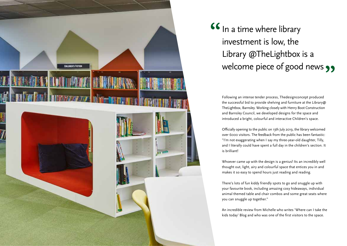

## **"** welcome piece of good news **99** In a time where library investment is low, the Library @TheLightbox is a

Following an intense tender process, Thedesignconcept produced the successful bid to provide shelving and furniture at the Library@ TheLightbox, Barnsley. Working closely with Henry Boot Construction and Barnsley Council, we developed designs for the space and introduced a bright, colourful and interactive Children's space.

Officially opening to the public on 13th July 2019, the library welcomed over 6000 visitors. The feedback from the public has been fantastic: "I'm not exaggerating when I say my three-year-old daughter, Tilly, and I literally could have spent a full day in the children's section. It is brilliant!

Whoever came up with the design is a genius! Its an incredibly well thought out, light, airy and colourful space that entices you in and makes it so easy to spend hours just reading and reading.

There's lots of fun kiddy friendly spots to go and snuggle up with your favourite book, including amazing cosy hideaways, individual animal themed table and chair combos and some great seats where you can snuggle up together."

An incredible review from Michelle who writes 'Where can I take the kids today' Blog and who was one of the first visitors to the space.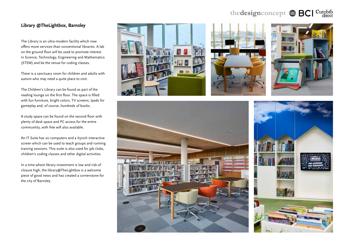### the design concept  $\textstyle\oplus$  BCI Curobib

#### **Library @TheLightbox, Barnsley**

The Library is an ultra-modern facility which now offers more services than conventional libraries. A lab on the ground floor will be used to promote interest in Science, Technology, Engineering and Mathematics (STEM) and be the venue for coding classes.

There is a sanctuary room for children and adults with autism who may need a quite place to visit.

The Children's Library can be found as part of the reading lounge on the first floor. The space is filled with fun furniture, bright colors, TV screens, Ipads for gameplay and, of course, hundreds of books.

A study space can be found on the second floor with plenty of desk space and PC access for the entire communtity, with free wifi also available.

An IT Suite has 20 computers and a 65inch interactive screen which can be used to teach groups and running training sessions. This suite is also used for jpb clubs, children's coding classes and other digital activities.

In a time where library investment is low and risk of closure high, the library@TheLightbox is a welcome piece of good news and has created a cornerstone for the city of Barnsley.